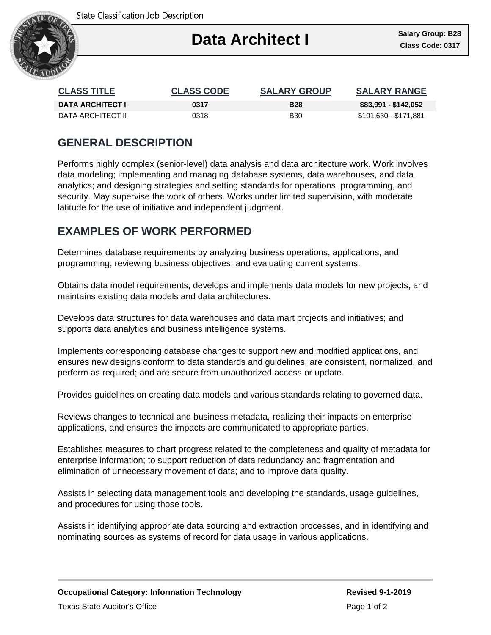

| <b>CLASS TITLE</b>      | <b>CLASS CODE</b> | <b>SALARY GROUP</b> | <b>SALARY RANGE</b>   |
|-------------------------|-------------------|---------------------|-----------------------|
| <b>DATA ARCHITECT I</b> | 0317              | <b>B28</b>          | \$83,991 - \$142,052  |
| DATA ARCHITECT II       | 0318              | <b>B</b> 30         | \$101,630 - \$171,881 |

### **GENERAL DESCRIPTION**

Performs highly complex (senior-level) data analysis and data architecture work. Work involves data modeling; implementing and managing database systems, data warehouses, and data analytics; and designing strategies and setting standards for operations, programming, and security. May supervise the work of others. Works under limited supervision, with moderate latitude for the use of initiative and independent judgment.

## **EXAMPLES OF WORK PERFORMED**

Determines database requirements by analyzing business operations, applications, and programming; reviewing business objectives; and evaluating current systems.

Obtains data model requirements, develops and implements data models for new projects, and maintains existing data models and data architectures.

Develops data structures for data warehouses and data mart projects and initiatives; and supports data analytics and business intelligence systems.

Implements corresponding database changes to support new and modified applications, and ensures new designs conform to data standards and guidelines; are consistent, normalized, and perform as required; and are secure from unauthorized access or update.

Provides guidelines on creating data models and various standards relating to governed data.

Reviews changes to technical and business metadata, realizing their impacts on enterprise applications, and ensures the impacts are communicated to appropriate parties.

Establishes measures to chart progress related to the completeness and quality of metadata for enterprise information; to support reduction of data redundancy and fragmentation and elimination of unnecessary movement of data; and to improve data quality.

Assists in selecting data management tools and developing the standards, usage guidelines, and procedures for using those tools.

Assists in identifying appropriate data sourcing and extraction processes, and in identifying and nominating sources as systems of record for data usage in various applications.